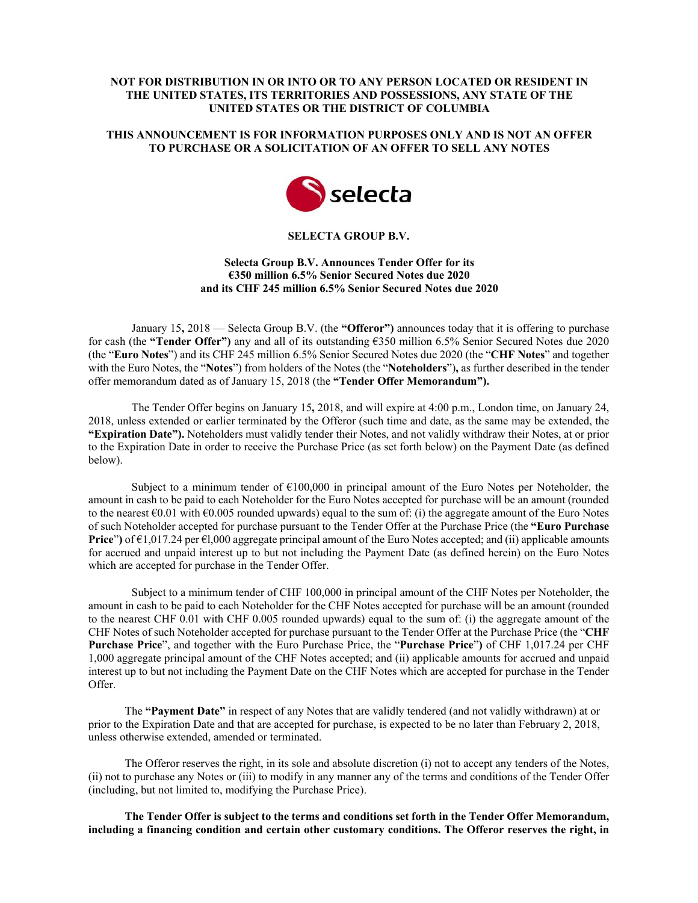# **NOT FOR DISTRIBUTION IN OR INTO OR TO ANY PERSON LOCATED OR RESIDENT IN THE UNITED STATES, ITS TERRITORIES AND POSSESSIONS, ANY STATE OF THE UNITED STATES OR THE DISTRICT OF COLUMBIA**

# **THIS ANNOUNCEMENT IS FOR INFORMATION PURPOSES ONLY AND IS NOT AN OFFER TO PURCHASE OR A SOLICITATION OF AN OFFER TO SELL ANY NOTES**



### **SELECTA GROUP B.V.**

## **Selecta Group B.V. Announces Tender Offer for its €350 million 6.5% Senior Secured Notes due 2020 and its CHF 245 million 6.5% Senior Secured Notes due 2020**

January 15**,** 2018 — Selecta Group B.V. (the **"Offeror")** announces today that it is offering to purchase for cash (the **"Tender Offer")** any and all of its outstanding €350 million 6.5% Senior Secured Notes due 2020 (the "**Euro Notes**") and its CHF 245 million 6.5% Senior Secured Notes due 2020 (the "**CHF Notes**" and together with the Euro Notes, the "**Notes**") from holders of the Notes (the "**Noteholders**")**,** as further described in the tender offer memorandum dated as of January 15, 2018 (the **"Tender Offer Memorandum").**

The Tender Offer begins on January 15**,** 2018, and will expire at 4:00 p.m., London time, on January 24, 2018, unless extended or earlier terminated by the Offeror (such time and date, as the same may be extended, the **"Expiration Date").** Noteholders must validly tender their Notes, and not validly withdraw their Notes, at or prior to the Expiration Date in order to receive the Purchase Price (as set forth below) on the Payment Date (as defined below).

Subject to a minimum tender of  $\epsilon$ 100,000 in principal amount of the Euro Notes per Noteholder, the amount in cash to be paid to each Noteholder for the Euro Notes accepted for purchase will be an amount (rounded to the nearest  $\epsilon$ 0.01 with  $\epsilon$ 0.005 rounded upwards) equal to the sum of: (i) the aggregate amount of the Euro Notes of such Noteholder accepted for purchase pursuant to the Tender Offer at the Purchase Price (the **"Euro Purchase Price**"**)** of €1,017.24 per €l,000 aggregate principal amount of the Euro Notes accepted; and (ii) applicable amounts for accrued and unpaid interest up to but not including the Payment Date (as defined herein) on the Euro Notes which are accepted for purchase in the Tender Offer.

Subject to a minimum tender of CHF 100,000 in principal amount of the CHF Notes per Noteholder, the amount in cash to be paid to each Noteholder for the CHF Notes accepted for purchase will be an amount (rounded to the nearest CHF 0.01 with CHF 0.005 rounded upwards) equal to the sum of: (i) the aggregate amount of the CHF Notes of such Noteholder accepted for purchase pursuant to the Tender Offer at the Purchase Price (the "**CHF Purchase Price**", and together with the Euro Purchase Price, the "**Purchase Price**"**)** of CHF 1,017.24 per CHF 1,000 aggregate principal amount of the CHF Notes accepted; and (ii) applicable amounts for accrued and unpaid interest up to but not including the Payment Date on the CHF Notes which are accepted for purchase in the Tender Offer.

The **"Payment Date"** in respect of any Notes that are validly tendered (and not validly withdrawn) at or prior to the Expiration Date and that are accepted for purchase, is expected to be no later than February 2, 2018, unless otherwise extended, amended or terminated.

The Offeror reserves the right, in its sole and absolute discretion (i) not to accept any tenders of the Notes, (ii) not to purchase any Notes or (iii) to modify in any manner any of the terms and conditions of the Tender Offer (including, but not limited to, modifying the Purchase Price).

**The Tender Offer is subject to the terms and conditions set forth in the Tender Offer Memorandum, including a financing condition and certain other customary conditions. The Offeror reserves the right, in**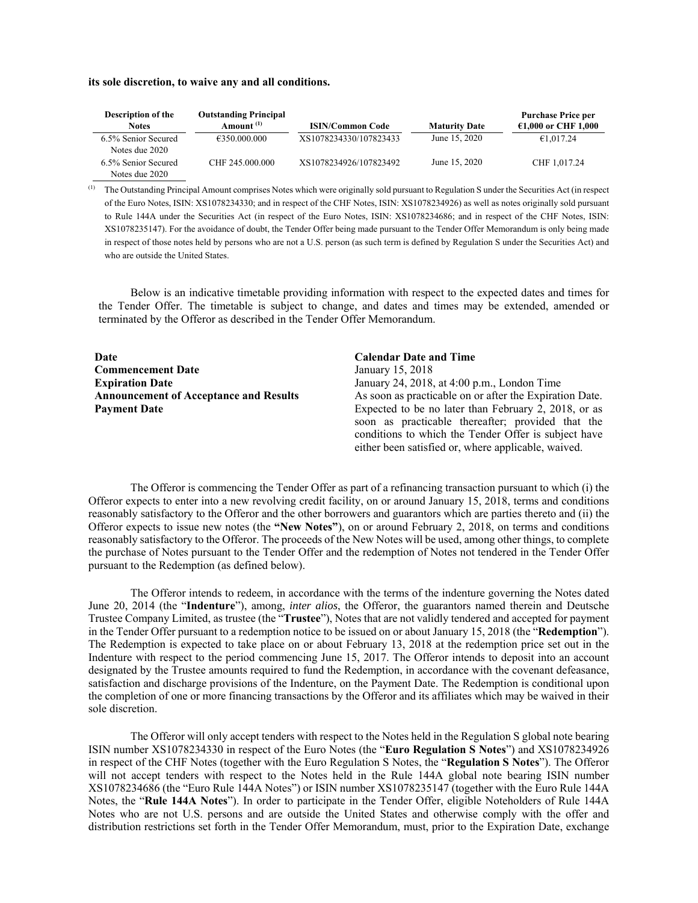#### **its sole discretion, to waive any and all conditions.**

| <b>Description of the</b><br><b>Notes</b> | <b>Outstanding Principal</b><br>Amount <sup>(1)</sup> | <b>ISIN/Common Code</b> | <b>Maturity Date</b> | <b>Purchase Price per</b><br>$£1,000$ or CHF 1,000 |
|-------------------------------------------|-------------------------------------------------------|-------------------------|----------------------|----------------------------------------------------|
| 6.5% Senior Secured<br>Notes due 2020     | €350.000.000                                          | XS1078234330/107823433  | June 15, 2020        | €1,017.24                                          |
| 6.5% Senior Secured<br>Notes due 2020     | CHF 245,000,000                                       | XS1078234926/107823492  | June 15, 2020        | CHF 1.017.24                                       |

(1) The Outstanding Principal Amount comprises Notes which were originally sold pursuant to Regulation S under the Securities Act (in respect of the Euro Notes, ISIN: XS1078234330; and in respect of the CHF Notes, ISIN: XS1078234926) as well as notes originally sold pursuant to Rule 144A under the Securities Act (in respect of the Euro Notes, ISIN: XS1078234686; and in respect of the CHF Notes, ISIN: XS1078235147). For the avoidance of doubt, the Tender Offer being made pursuant to the Tender Offer Memorandum is only being made in respect of those notes held by persons who are not a U.S. person (as such term is defined by Regulation S under the Securities Act) and who are outside the United States.

Below is an indicative timetable providing information with respect to the expected dates and times for the Tender Offer. The timetable is subject to change, and dates and times may be extended, amended or terminated by the Offeror as described in the Tender Offer Memorandum.

| Date                                          | <b>Calendar Date and Time</b>                           |
|-----------------------------------------------|---------------------------------------------------------|
| <b>Commencement Date</b>                      | January 15, 2018                                        |
| <b>Expiration Date</b>                        | January 24, 2018, at 4:00 p.m., London Time             |
| <b>Announcement of Acceptance and Results</b> | As soon as practicable on or after the Expiration Date. |
| <b>Payment Date</b>                           | Expected to be no later than February 2, 2018, or as    |
|                                               | soon as practicable thereafter; provided that the       |
|                                               | conditions to which the Tender Offer is subject have    |
|                                               | either been satisfied or, where applicable, waived.     |

The Offeror is commencing the Tender Offer as part of a refinancing transaction pursuant to which (i) the Offeror expects to enter into a new revolving credit facility, on or around January 15, 2018, terms and conditions reasonably satisfactory to the Offeror and the other borrowers and guarantors which are parties thereto and (ii) the Offeror expects to issue new notes (the **"New Notes"**), on or around February 2, 2018, on terms and conditions reasonably satisfactory to the Offeror. The proceeds of the New Notes will be used, among other things, to complete the purchase of Notes pursuant to the Tender Offer and the redemption of Notes not tendered in the Tender Offer pursuant to the Redemption (as defined below).

The Offeror intends to redeem, in accordance with the terms of the indenture governing the Notes dated June 20, 2014 (the "**Indenture**"), among, *inter alios*, the Offeror, the guarantors named therein and Deutsche Trustee Company Limited, as trustee (the "**Trustee**"), Notes that are not validly tendered and accepted for payment in the Tender Offer pursuant to a redemption notice to be issued on or about January 15, 2018 (the "**Redemption**"). The Redemption is expected to take place on or about February 13, 2018 at the redemption price set out in the Indenture with respect to the period commencing June 15, 2017. The Offeror intends to deposit into an account designated by the Trustee amounts required to fund the Redemption, in accordance with the covenant defeasance, satisfaction and discharge provisions of the Indenture, on the Payment Date. The Redemption is conditional upon the completion of one or more financing transactions by the Offeror and its affiliates which may be waived in their sole discretion.

The Offeror will only accept tenders with respect to the Notes held in the Regulation S global note bearing ISIN number XS1078234330 in respect of the Euro Notes (the "**Euro Regulation S Notes**") and XS1078234926 in respect of the CHF Notes (together with the Euro Regulation S Notes, the "**Regulation S Notes**"). The Offeror will not accept tenders with respect to the Notes held in the Rule 144A global note bearing ISIN number XS1078234686 (the "Euro Rule 144A Notes") or ISIN number XS1078235147 (together with the Euro Rule 144A Notes, the "**Rule 144A Notes**"). In order to participate in the Tender Offer, eligible Noteholders of Rule 144A Notes who are not U.S. persons and are outside the United States and otherwise comply with the offer and distribution restrictions set forth in the Tender Offer Memorandum, must, prior to the Expiration Date, exchange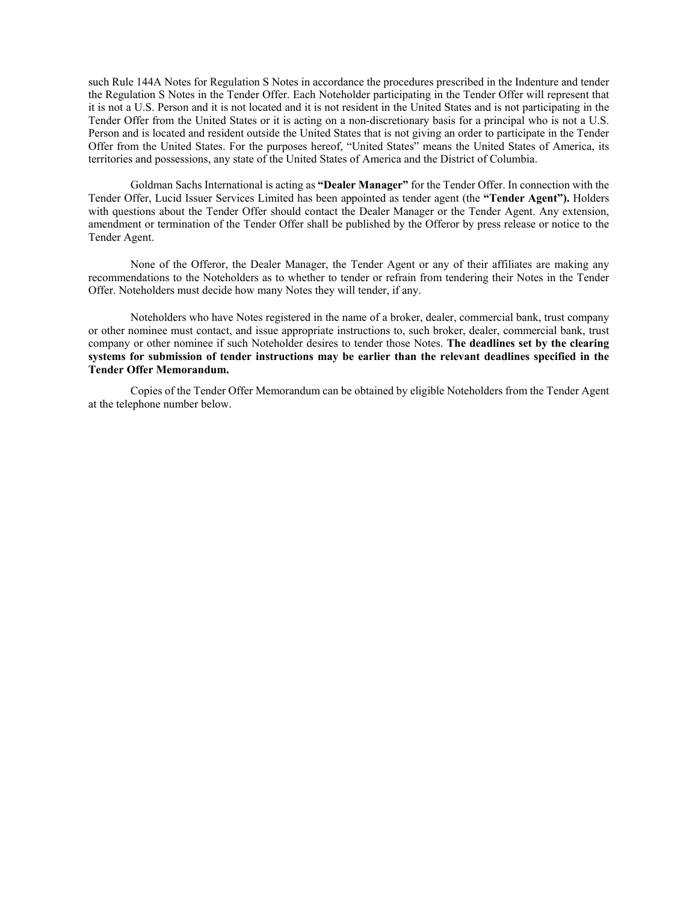such Rule 144A Notes for Regulation S Notes in accordance the procedures prescribed in the Indenture and tender the Regulation S Notes in the Tender Offer. Each Noteholder participating in the Tender Offer will represent that it is not a U.S. Person and it is not located and it is not resident in the United States and is not participating in the Tender Offer from the United States or it is acting on a non-discretionary basis for a principal who is not a U.S. Person and is located and resident outside the United States that is not giving an order to participate in the Tender Offer from the United States. For the purposes hereof, "United States" means the United States of America, its territories and possessions, any state of the United States of America and the District of Columbia.

Goldman Sachs International is acting as **"Dealer Manager"** for the Tender Offer. In connection with the Tender Offer, Lucid Issuer Services Limited has been appointed as tender agent (the **"Tender Agent").** Holders with questions about the Tender Offer should contact the Dealer Manager or the Tender Agent. Any extension, amendment or termination of the Tender Offer shall be published by the Offeror by press release or notice to the Tender Agent.

None of the Offeror, the Dealer Manager, the Tender Agent or any of their affiliates are making any recommendations to the Noteholders as to whether to tender or refrain from tendering their Notes in the Tender Offer. Noteholders must decide how many Notes they will tender, if any.

Noteholders who have Notes registered in the name of a broker, dealer, commercial bank, trust company or other nominee must contact, and issue appropriate instructions to, such broker, dealer, commercial bank, trust company or other nominee if such Noteholder desires to tender those Notes. **The deadlines set by the clearing systems for submission of tender instructions may be earlier than the relevant deadlines specified in the Tender Offer Memorandum.**

Copies of the Tender Offer Memorandum can be obtained by eligible Noteholders from the Tender Agent at the telephone number below.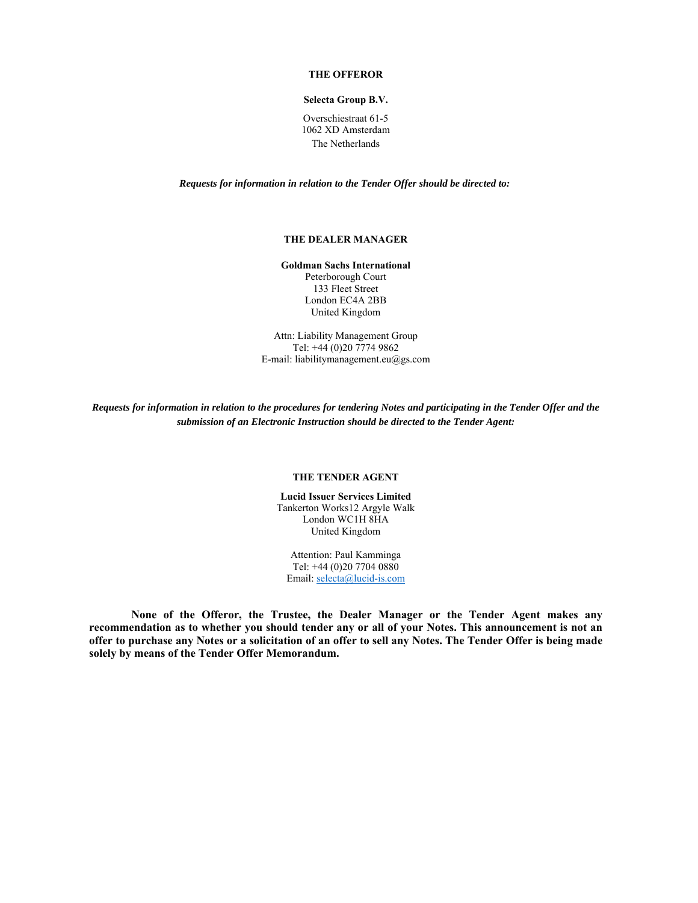#### **THE OFFEROR**

## **Selecta Group B.V.**

Overschiestraat 61-5 1062 XD Amsterdam The Netherlands

*Requests for information in relation to the Tender Offer should be directed to:* 

### **THE DEALER MANAGER**

**Goldman Sachs International**  Peterborough Court 133 Fleet Street London EC4A 2BB United Kingdom

Attn: Liability Management Group Tel: +44 (0)20 7774 9862 E-mail: liabilitymanagement.eu@gs.com

*Requests for information in relation to the procedures for tendering Notes and participating in the Tender Offer and the submission of an Electronic Instruction should be directed to the Tender Agent:* 

#### **THE TENDER AGENT**

**Lucid Issuer Services Limited**  Tankerton Works12 Argyle Walk London WC1H 8HA United Kingdom

Attention: Paul Kamminga Tel: +44 (0)20 7704 0880 Email: selecta@lucid-is.com

**None of the Offeror, the Trustee, the Dealer Manager or the Tender Agent makes any recommendation as to whether you should tender any or all of your Notes. This announcement is not an offer to purchase any Notes or a solicitation of an offer to sell any Notes. The Tender Offer is being made solely by means of the Tender Offer Memorandum.**